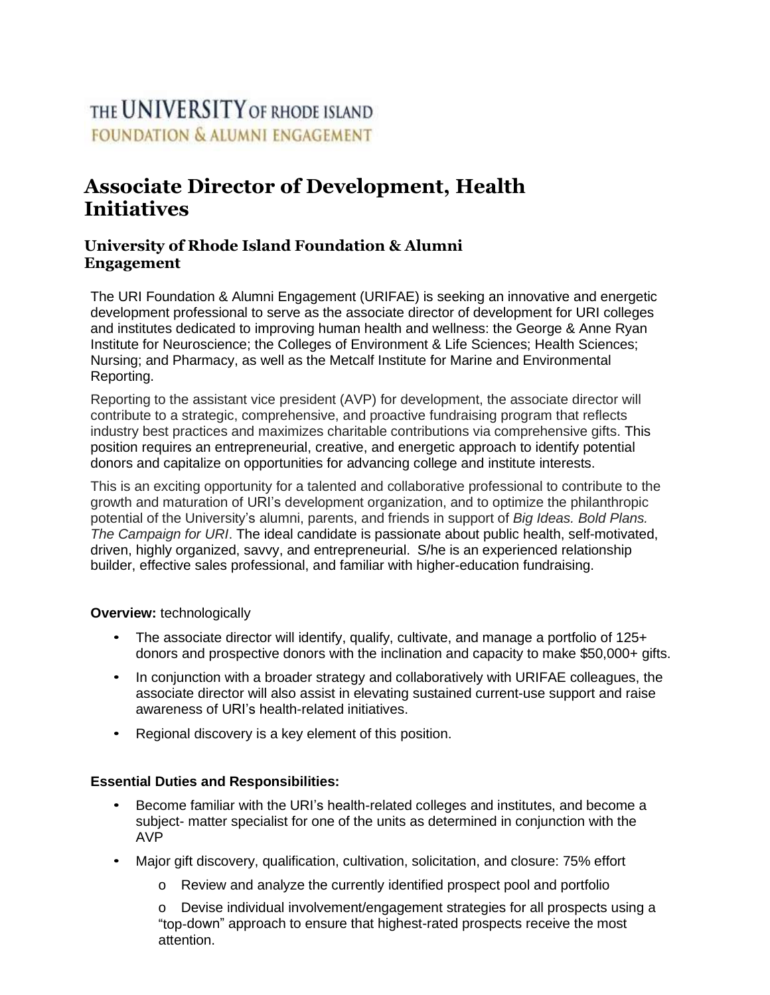# THE UNIVERSITY OF RHODE ISLAND **FOUNDATION & ALUMNI ENGAGEMENT**

## **Associate Director of Development, Health Initiatives**

### **University of Rhode Island Foundation & Alumni Engagement**

The URI Foundation & Alumni Engagement (URIFAE) is seeking an innovative and energetic development professional to serve as the associate director of development for URI colleges and institutes dedicated to improving human health and wellness: the George & Anne Ryan Institute for Neuroscience; the Colleges of Environment & Life Sciences; Health Sciences; Nursing; and Pharmacy, as well as the Metcalf Institute for Marine and Environmental Reporting.

Reporting to the assistant vice president (AVP) for development, the associate director will contribute to a strategic, comprehensive, and proactive fundraising program that reflects industry best practices and maximizes charitable contributions via comprehensive gifts. This position requires an entrepreneurial, creative, and energetic approach to identify potential donors and capitalize on opportunities for advancing college and institute interests.

This is an exciting opportunity for a talented and collaborative professional to contribute to the growth and maturation of URI's development organization, and to optimize the philanthropic potential of the University's alumni, parents, and friends in support of *Big Ideas. Bold Plans. The Campaign for URI*. The ideal candidate is passionate about public health, self-motivated, driven, highly organized, savvy, and entrepreneurial. S/he is an experienced relationship builder, effective sales professional, and familiar with higher-education fundraising.

#### **Overview:** technologically

- The associate director will identify, qualify, cultivate, and manage a portfolio of 125+ donors and prospective donors with the inclination and capacity to make \$50,000+ gifts.
- In conjunction with a broader strategy and collaboratively with URIFAE colleagues, the associate director will also assist in elevating sustained current-use support and raise awareness of URI's health-related initiatives.
- Regional discovery is a key element of this position.

#### **Essential Duties and Responsibilities:**

- Become familiar with the URI's health-related colleges and institutes, and become a subject- matter specialist for one of the units as determined in conjunction with the AVP
- Major gift discovery, qualification, cultivation, solicitation, and closure: 75% effort
	- o Review and analyze the currently identified prospect pool and portfolio

o Devise individual involvement/engagement strategies for all prospects using a "top-down" approach to ensure that highest-rated prospects receive the most attention.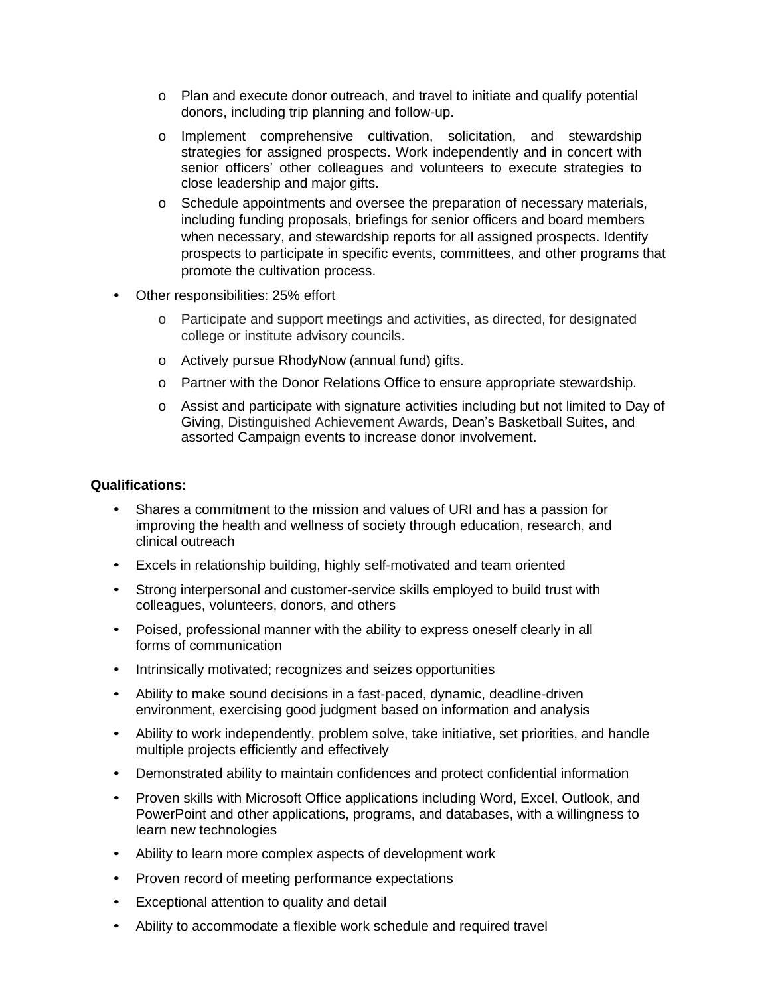- o Plan and execute donor outreach, and travel to initiate and qualify potential donors, including trip planning and follow-up.
- o Implement comprehensive cultivation, solicitation, and stewardship strategies for assigned prospects. Work independently and in concert with senior officers' other colleagues and volunteers to execute strategies to close leadership and major gifts.
- o Schedule appointments and oversee the preparation of necessary materials, including funding proposals, briefings for senior officers and board members when necessary, and stewardship reports for all assigned prospects. Identify prospects to participate in specific events, committees, and other programs that promote the cultivation process.
- Other responsibilities: 25% effort
	- o Participate and support meetings and activities, as directed, for designated college or institute advisory councils.
	- o Actively pursue RhodyNow (annual fund) gifts.
	- o Partner with the Donor Relations Office to ensure appropriate stewardship.
	- o Assist and participate with signature activities including but not limited to Day of Giving, Distinguished Achievement Awards, Dean's Basketball Suites, and assorted Campaign events to increase donor involvement.

#### **Qualifications:**

- Shares a commitment to the mission and values of URI and has a passion for improving the health and wellness of society through education, research, and clinical outreach
- Excels in relationship building, highly self-motivated and team oriented
- Strong interpersonal and customer-service skills employed to build trust with colleagues, volunteers, donors, and others
- Poised, professional manner with the ability to express oneself clearly in all forms of communication
- Intrinsically motivated; recognizes and seizes opportunities
- Ability to make sound decisions in a fast-paced, dynamic, deadline-driven environment, exercising good judgment based on information and analysis
- Ability to work independently, problem solve, take initiative, set priorities, and handle multiple projects efficiently and effectively
- Demonstrated ability to maintain confidences and protect confidential information
- Proven skills with Microsoft Office applications including Word, Excel, Outlook, and PowerPoint and other applications, programs, and databases, with a willingness to learn new technologies
- Ability to learn more complex aspects of development work
- Proven record of meeting performance expectations
- Exceptional attention to quality and detail
- Ability to accommodate a flexible work schedule and required travel